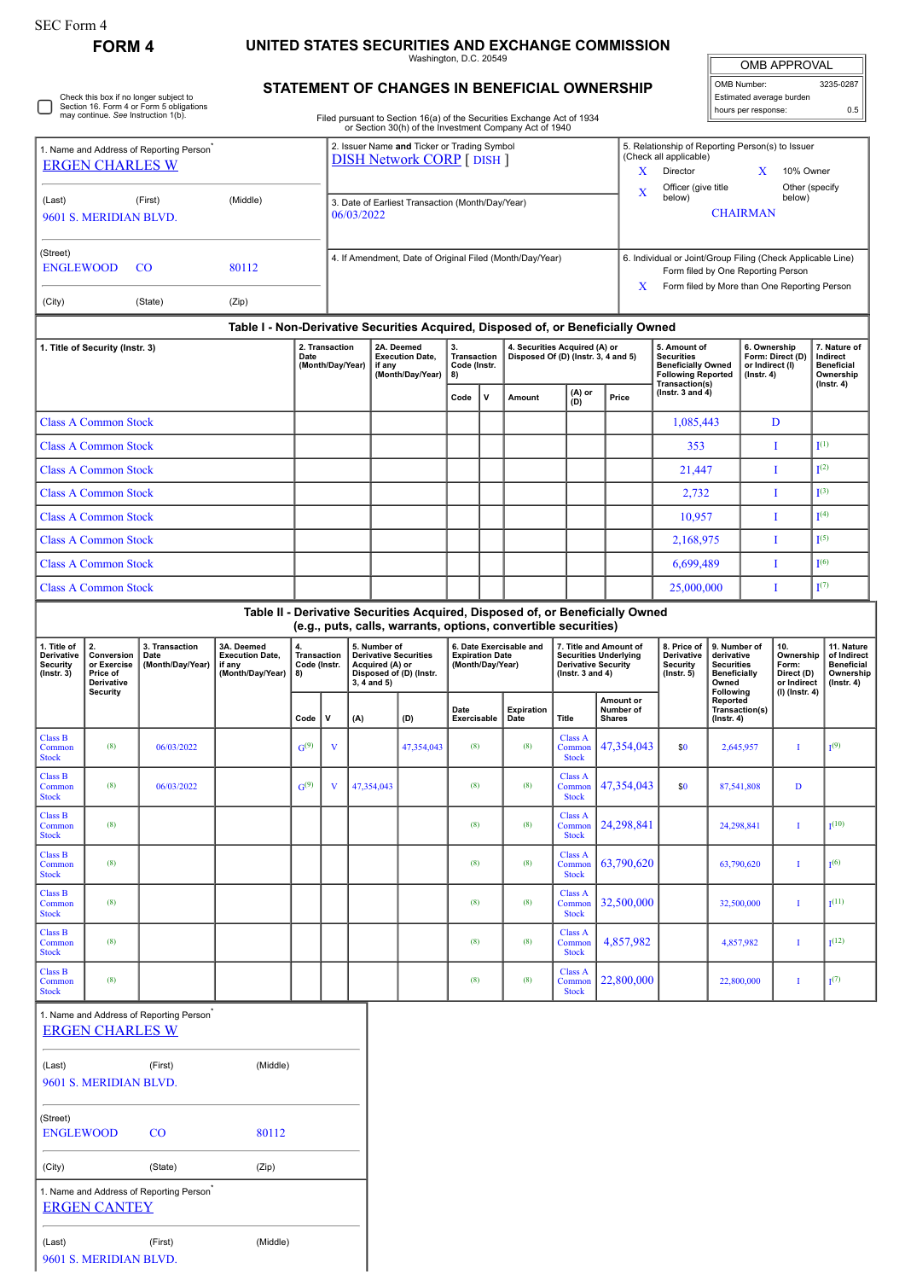## **FORM 4 UNITED STATES SECURITIES AND EXCHANGE COMMISSION**

Washington, D.C. 20549

| <b>OMB APPROVAL</b> |           |  |  |  |  |  |
|---------------------|-----------|--|--|--|--|--|
| OMB Number:         | 3235-0287 |  |  |  |  |  |

Estimated average burden hours per response: 0.5

Check this box if no longer subject to Section 16. Form 4 or Form 5 obligations may continue. *See* Instruction 1(b). 0

**STATEMENT OF CHANGES IN BENEFICIAL OWNERSHIP**

Filed pursuant to Section 16(a) of the Securities Exchange Act of 1934 or Section 30(h) of the Investment Company Act of 1940

2. Issuer Name **and** Ticker or Trading Symbol

| 1. Name and Address of Reporting Person<br><b>ERGEN CHARLES W</b> |                                                           |                                            |                                                                                  |                                         | 2. Issuer Name and Ticker or Trading Symbol<br><b>DISH Network CORP</b> [ DISH ] |                                                                    |                                                                                            |                             |                                                                      |                                                                                                                                                   |                                                    | X                                                                             | 5. Relationship of Reporting Person(s) to Issuer<br>(Check all applicable)<br>Director<br>10% Owner<br>X |                                                                                 |                                                                         |                                                                                |                                                                           |  |
|-------------------------------------------------------------------|-----------------------------------------------------------|--------------------------------------------|----------------------------------------------------------------------------------|-----------------------------------------|----------------------------------------------------------------------------------|--------------------------------------------------------------------|--------------------------------------------------------------------------------------------|-----------------------------|----------------------------------------------------------------------|---------------------------------------------------------------------------------------------------------------------------------------------------|----------------------------------------------------|-------------------------------------------------------------------------------|----------------------------------------------------------------------------------------------------------|---------------------------------------------------------------------------------|-------------------------------------------------------------------------|--------------------------------------------------------------------------------|---------------------------------------------------------------------------|--|
| (First)<br>(Middle)<br>(Last)<br>9601 S. MERIDIAN BLVD.           |                                                           |                                            |                                                                                  |                                         | 3. Date of Earliest Transaction (Month/Day/Year)<br>06/03/2022                   |                                                                    |                                                                                            |                             |                                                                      |                                                                                                                                                   |                                                    |                                                                               | Officer (give title<br>Other (specify<br>X<br>below)<br>below)<br><b>CHAIRMAN</b>                        |                                                                                 |                                                                         |                                                                                |                                                                           |  |
| (Street)<br><b>ENGLEWOOD</b><br>$\rm CO$<br>80112                 |                                                           |                                            | 4. If Amendment, Date of Original Filed (Month/Day/Year)                         |                                         |                                                                                  |                                                                    |                                                                                            |                             |                                                                      | 6. Individual or Joint/Group Filing (Check Applicable Line)<br>Form filed by One Reporting Person<br>Form filed by More than One Reporting Person |                                                    |                                                                               |                                                                                                          |                                                                                 |                                                                         |                                                                                |                                                                           |  |
| (City)                                                            |                                                           | (State)                                    | (Zip)                                                                            |                                         |                                                                                  |                                                                    |                                                                                            |                             |                                                                      |                                                                                                                                                   |                                                    | X                                                                             |                                                                                                          |                                                                                 |                                                                         |                                                                                |                                                                           |  |
|                                                                   |                                                           |                                            | Table I - Non-Derivative Securities Acquired, Disposed of, or Beneficially Owned |                                         |                                                                                  |                                                                    |                                                                                            |                             |                                                                      |                                                                                                                                                   |                                                    |                                                                               |                                                                                                          |                                                                                 |                                                                         |                                                                                |                                                                           |  |
| 1. Title of Security (Instr. 3)                                   |                                                           |                                            | Date                                                                             | 2. Transaction<br>(Month/Day/Year)      |                                                                                  | 2A. Deemed<br><b>Execution Date,</b><br>if any<br>(Month/Day/Year) |                                                                                            | Transaction<br>Code (Instr. | 4. Securities Acquired (A) or<br>Disposed Of (D) (Instr. 3, 4 and 5) |                                                                                                                                                   |                                                    | 5. Amount of<br><b>Securities</b>                                             | <b>Beneficially Owned</b><br><b>Following Reported</b><br>Transaction(s)                                 |                                                                                 | 6. Ownership<br>Form: Direct (D)<br>or Indirect (I)<br>$($ Instr. 4 $)$ | 7. Nature of<br>Indirect<br><b>Beneficial</b><br>Ownership<br>$($ Instr. 4 $)$ |                                                                           |  |
|                                                                   |                                                           |                                            |                                                                                  |                                         |                                                                                  |                                                                    |                                                                                            | Code                        | $\mathsf{v}$                                                         | Amount                                                                                                                                            | (A) or<br>(D)                                      | Price                                                                         | ( $lnstr. 3 and 4$ )                                                                                     |                                                                                 |                                                                         |                                                                                |                                                                           |  |
|                                                                   | <b>Class A Common Stock</b>                               |                                            |                                                                                  |                                         |                                                                                  |                                                                    |                                                                                            |                             |                                                                      |                                                                                                                                                   |                                                    |                                                                               | 1,085,443                                                                                                |                                                                                 |                                                                         | D                                                                              |                                                                           |  |
|                                                                   | <b>Class A Common Stock</b>                               |                                            |                                                                                  |                                         |                                                                                  |                                                                    |                                                                                            |                             |                                                                      |                                                                                                                                                   |                                                    |                                                                               | 353                                                                                                      |                                                                                 |                                                                         | I                                                                              | I <sup>(1)</sup>                                                          |  |
|                                                                   | <b>Class A Common Stock</b>                               |                                            |                                                                                  |                                         |                                                                                  |                                                                    |                                                                                            |                             |                                                                      |                                                                                                                                                   |                                                    |                                                                               | 21,447                                                                                                   |                                                                                 | I                                                                       |                                                                                | I <sup>(2)</sup>                                                          |  |
|                                                                   | <b>Class A Common Stock</b>                               |                                            |                                                                                  |                                         |                                                                                  |                                                                    |                                                                                            |                             |                                                                      |                                                                                                                                                   |                                                    |                                                                               | 2,732                                                                                                    |                                                                                 |                                                                         | I                                                                              | $I^{(3)}$                                                                 |  |
|                                                                   | <b>Class A Common Stock</b>                               |                                            |                                                                                  |                                         |                                                                                  |                                                                    |                                                                                            |                             |                                                                      |                                                                                                                                                   |                                                    |                                                                               | 10,957                                                                                                   |                                                                                 |                                                                         | Ι.                                                                             | I <sup>(4)</sup>                                                          |  |
|                                                                   | <b>Class A Common Stock</b>                               |                                            |                                                                                  |                                         |                                                                                  |                                                                    |                                                                                            |                             |                                                                      |                                                                                                                                                   |                                                    |                                                                               | 2,168,975                                                                                                |                                                                                 | Ι                                                                       |                                                                                | I <sup>(5)</sup>                                                          |  |
|                                                                   | <b>Class A Common Stock</b>                               |                                            |                                                                                  |                                         |                                                                                  |                                                                    |                                                                                            |                             |                                                                      |                                                                                                                                                   |                                                    |                                                                               | 6,699,489                                                                                                |                                                                                 | I                                                                       |                                                                                | I <sup>(6)</sup>                                                          |  |
|                                                                   | <b>Class A Common Stock</b>                               |                                            |                                                                                  |                                         |                                                                                  |                                                                    |                                                                                            |                             |                                                                      |                                                                                                                                                   |                                                    |                                                                               | 25,000,000                                                                                               |                                                                                 |                                                                         | T                                                                              | I <sup>(7)</sup>                                                          |  |
|                                                                   |                                                           |                                            |                                                                                  |                                         |                                                                                  |                                                                    | (e.g., puts, calls, warrants, options, convertible securities)                             |                             |                                                                      |                                                                                                                                                   |                                                    | Table II - Derivative Securities Acquired, Disposed of, or Beneficially Owned |                                                                                                          |                                                                                 |                                                                         |                                                                                |                                                                           |  |
| 1. Title of<br>Derivative<br>Security<br>$($ Instr. 3 $)$         | 2.<br>Conversion<br>or Exercise<br>Price of<br>Derivative | 3. Transaction<br>Date<br>(Month/Day/Year) | 3A. Deemed<br><b>Execution Date,</b><br>if any<br>(Month/Day/Year)               | 4.<br>Transaction<br>Code (Instr.<br>8) |                                                                                  | $3, 4$ and $5)$                                                    | 5. Number of<br><b>Derivative Securities</b><br>Acquired (A) or<br>Disposed of (D) (Instr. |                             | <b>Expiration Date</b><br>(Month/Day/Year)                           | 6. Date Exercisable and                                                                                                                           | <b>Derivative Security</b><br>( $lnstr. 3 and 4$ ) | 7. Title and Amount of<br><b>Securities Underlying</b>                        | 8. Price of<br>Derivative<br>Security<br>$($ Instr. 5 $)$                                                | 9. Number of<br>derivative<br><b>Securities</b><br><b>Beneficially</b><br>Owned |                                                                         | 10.<br>Ownership<br>Form:<br>Direct (D)<br>or Indirect                         | 11. Nature<br>of Indirect<br><b>Beneficial</b><br>Ownership<br>(Instr. 4) |  |
|                                                                   | <b>Security</b>                                           |                                            |                                                                                  | Code                                    | v                                                                                | (A)                                                                | (D)                                                                                        | Date<br>Exercisable         |                                                                      | Expiration<br>Date                                                                                                                                | Title                                              | Amount or<br>Number of<br><b>Shares</b>                                       |                                                                                                          | Following<br>Reported<br>$($ Instr. 4 $)$                                       | Transaction(s)                                                          | (I) (Instr. 4)                                                                 |                                                                           |  |
| <b>Class B</b><br>Common<br>Stock                                 | (8)                                                       | 06/03/2022                                 |                                                                                  | G <sup>(9)</sup>                        | V                                                                                |                                                                    | 47,354,043                                                                                 | (8)                         |                                                                      | (8)                                                                                                                                               | <b>Class A</b><br>Common<br><b>Stock</b>           | 47,354,043                                                                    | \$0<br>2,645,957                                                                                         |                                                                                 |                                                                         | Ι.                                                                             | I <sup>(9)</sup>                                                          |  |
| Class B<br>Common<br><b>Stock</b>                                 | (8)                                                       | 06/03/2022                                 |                                                                                  | G <sup>(9)</sup>                        | V                                                                                | 47,354,043                                                         |                                                                                            | (8)                         |                                                                      | (8)                                                                                                                                               | Class A<br>Common<br><b>Stock</b>                  | 47,354,043                                                                    | \$0<br>87,541,808                                                                                        |                                                                                 |                                                                         | D                                                                              |                                                                           |  |
| <b>Class B</b><br>Common<br><b>Stock</b>                          | (8)                                                       |                                            |                                                                                  |                                         |                                                                                  |                                                                    |                                                                                            | (8)                         |                                                                      | (8)                                                                                                                                               | Class A<br>Common  <br><b>Stock</b>                | 24,298,841                                                                    |                                                                                                          |                                                                                 | 24,298,841                                                              | Ι.                                                                             | $I^{(10)}$                                                                |  |
| <b>Class B</b><br>Common<br><b>Stock</b>                          | (8)                                                       |                                            |                                                                                  |                                         |                                                                                  |                                                                    |                                                                                            | (8)                         |                                                                      | (8)                                                                                                                                               | <b>Class A</b><br>Common<br><b>Stock</b>           | 63,790,620                                                                    |                                                                                                          | 63,790,620                                                                      |                                                                         | Т.                                                                             | I <sup>(6)</sup>                                                          |  |
| Class B<br>Common<br><b>Stock</b>                                 | (8)                                                       |                                            |                                                                                  |                                         |                                                                                  |                                                                    |                                                                                            | (8)                         |                                                                      | (8)                                                                                                                                               | <b>Class A</b><br>Common<br><b>Stock</b>           | 32,500,000                                                                    |                                                                                                          | 32,500,000                                                                      |                                                                         | Ι.                                                                             | I <sup>(11)</sup>                                                         |  |
| <b>Class B</b><br>Common<br><b>Stock</b>                          | (8)                                                       |                                            |                                                                                  |                                         |                                                                                  |                                                                    |                                                                                            | (8)                         |                                                                      | (8)                                                                                                                                               | <b>Class A</b><br>Common<br><b>Stock</b>           | 4,857,982                                                                     |                                                                                                          | 4,857,982                                                                       |                                                                         | Т.                                                                             | I(12)                                                                     |  |
| <b>Class B</b><br>Common<br>Stock                                 | (8)                                                       |                                            |                                                                                  |                                         |                                                                                  |                                                                    |                                                                                            | (8)                         |                                                                      | (8)                                                                                                                                               | <b>Class A</b><br>Common<br><b>Stock</b>           | 22,800,000                                                                    |                                                                                                          |                                                                                 | 22,800,000                                                              | Т.                                                                             | $I^{(7)}$                                                                 |  |
|                                                                   | <b>ERGEN CHARLES W</b>                                    | 1. Name and Address of Reporting Person    |                                                                                  |                                         |                                                                                  |                                                                    |                                                                                            |                             |                                                                      |                                                                                                                                                   |                                                    |                                                                               |                                                                                                          |                                                                                 |                                                                         |                                                                                |                                                                           |  |
| (Last)                                                            | 9601 S. MERIDIAN BLVD.                                    | (First)                                    | (Middle)                                                                         |                                         |                                                                                  |                                                                    |                                                                                            |                             |                                                                      |                                                                                                                                                   |                                                    |                                                                               |                                                                                                          |                                                                                 |                                                                         |                                                                                |                                                                           |  |
| (Street)<br><b>ENGLEWOOD</b>                                      |                                                           | $\rm CO$                                   | 80112                                                                            |                                         |                                                                                  |                                                                    |                                                                                            |                             |                                                                      |                                                                                                                                                   |                                                    |                                                                               |                                                                                                          |                                                                                 |                                                                         |                                                                                |                                                                           |  |
| (City)                                                            |                                                           | (State)                                    | (Zip)                                                                            |                                         |                                                                                  |                                                                    |                                                                                            |                             |                                                                      |                                                                                                                                                   |                                                    |                                                                               |                                                                                                          |                                                                                 |                                                                         |                                                                                |                                                                           |  |
|                                                                   | <b>ERGEN CANTEY</b>                                       | 1. Name and Address of Reporting Person    |                                                                                  |                                         |                                                                                  |                                                                    |                                                                                            |                             |                                                                      |                                                                                                                                                   |                                                    |                                                                               |                                                                                                          |                                                                                 |                                                                         |                                                                                |                                                                           |  |

9601 S. MERIDIAN BLVD.

(Last) (First) (Middle)